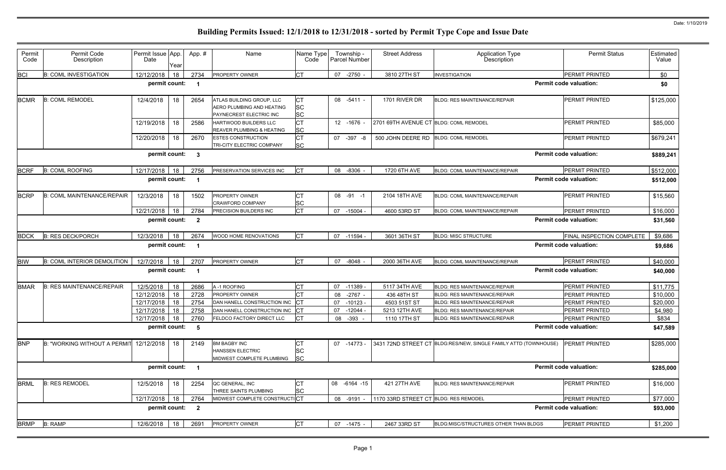| Permit<br>Code | Permit Code<br>Description         | Permit Issue App.<br>Date | Year | App.#                   | Name                                                                              | Name Type<br>Code            | Township -<br><b>Parcel Number</b> | <b>Street Address</b>                  | <b>Application Type</b><br>Description                           | <b>Permit Status</b>             | Estimated<br>Value |
|----------------|------------------------------------|---------------------------|------|-------------------------|-----------------------------------------------------------------------------------|------------------------------|------------------------------------|----------------------------------------|------------------------------------------------------------------|----------------------------------|--------------------|
| <b>BCI</b>     | <b>B: COML INVESTIGATION</b>       | 12/12/2018                | 18   | 2734                    | PROPERTY OWNER                                                                    | СT                           | 07 -2750                           | 3810 27TH ST                           | <b>INVESTIGATION</b>                                             | PERMIT PRINTED                   | \$0                |
|                |                                    | permit count:             |      | - 1                     |                                                                                   |                              |                                    |                                        |                                                                  | <b>Permit code valuation:</b>    | \$0                |
| <b>BCMR</b>    | <b>B: COML REMODEL</b>             | 12/4/2018                 | 18   | 2654                    | ATLAS BUILDING GROUP, LLC<br>AERO PLUMBING AND HEATING<br>PAYNECREST ELECTRIC INC | СT<br><b>SC</b><br><b>SC</b> | 08 -5411 -                         | 1701 RIVER DR                          | BLDG: RES MAINTENANCE/REPAIR                                     | <b>PERMIT PRINTED</b>            | \$125,000          |
|                |                                    | 12/19/2018                | 18   | 2586                    | <b>HARTWOOD BUILDERS LLC</b><br>REAVER PLUMBING & HEATING                         | <b>CT</b><br><b>SC</b>       | 12 -1676                           | 2701 69TH AVENUE CT BLDG: COML REMODEL |                                                                  | <b>PERMIT PRINTED</b>            | \$85,000           |
|                |                                    | 12/20/2018                | 18   | 2670                    | <b>ESTES CONSTRUCTION</b><br>TRI-CITY ELECTRIC COMPANY                            | СT<br><b>SC</b>              | 07 - 397 - 8                       | 500 JOHN DEERE RD                      | <b>BLDG: COML REMODEL</b>                                        | <b>PERMIT PRINTED</b>            | \$679,241          |
|                |                                    | permit count:             |      | $\mathbf{3}$            |                                                                                   |                              |                                    |                                        |                                                                  | <b>Permit code valuation:</b>    | \$889,241          |
| <b>BCRF</b>    | <b>B: COML ROOFING</b>             | 12/17/2018                | 18   | 2756                    | PRESERVATION SERVICES INC                                                         | CT                           | 08 -8306                           | 1720 6TH AVE                           | BLDG: COML MAINTENANCE/REPAIR                                    | PERMIT PRINTED                   | \$512,000          |
|                |                                    | permit count:             |      |                         |                                                                                   |                              |                                    |                                        |                                                                  | <b>Permit code valuation:</b>    | \$512,000          |
| <b>BCRP</b>    | <b>B: COML MAINTENANCE/REPAIR</b>  | 12/3/2018                 | 18   | 1502                    | <b>PROPERTY OWNER</b><br><b>CRAWFORD COMPANY</b>                                  | <b>SC</b>                    | 08 -91 -1                          | 2104 18TH AVE                          | <b>BLDG: COML MAINTENANCE/REPAIR</b>                             | <b>PERMIT PRINTED</b>            | \$15,560           |
|                |                                    | 12/21/2018                | 18   | 2784                    | PRECISION BUILDERS INC                                                            | <b>CT</b>                    | 07<br>-15004                       | 4600 53RD ST                           | BLDG: COML MAINTENANCE/REPAIR                                    | PERMIT PRINTED                   | \$16,000           |
|                |                                    | permit count:             |      | $\overline{2}$          |                                                                                   |                              |                                    |                                        |                                                                  | <b>Permit code valuation:</b>    | \$31,560           |
| <b>BDCK</b>    | <b>B: RES DECK/PORCH</b>           | 12/3/2018                 | 18   | 2674                    | WOOD HOME RENOVATIONS                                                             | <b>CT</b>                    | 07 -11594                          | 3601 36TH ST                           | <b>BLDG: MISC STRUCTURE</b>                                      | <b>FINAL INSPECTION COMPLETE</b> | \$9,686            |
|                |                                    | permit count:             |      |                         |                                                                                   |                              |                                    |                                        |                                                                  | <b>Permit code valuation:</b>    | \$9,686            |
| <b>BIW</b>     | <b>B: COML INTERIOR DEMOLITION</b> | 12/7/2018                 | 18   | 2707                    | <b>PROPERTY OWNER</b>                                                             | <b>ICT</b>                   | 07 -8048                           | 2000 36TH AVE                          | BLDG: COML MAINTENANCE/REPAIR                                    | PERMIT PRINTED                   | \$40,000           |
|                |                                    | permit count:             |      | -1                      |                                                                                   |                              |                                    |                                        |                                                                  | <b>Permit code valuation:</b>    | \$40,000           |
| <b>BMAR</b>    | <b>B: RES MAINTENANCE/REPAIR</b>   | 12/5/2018                 | 18   | 2686                    | A-1 ROOFING                                                                       |                              | 07<br>$-11389$                     | 5117 34TH AVE                          | <b>BLDG: RES MAINTENANCE/REPAIR</b>                              | <b>PERMIT PRINTED</b>            | \$11,775           |
|                |                                    | 12/12/2018                | 18   | 2728                    | PROPERTY OWNER                                                                    | СT                           | $-2767$<br>08                      | 436 48TH ST                            | BLDG: RES MAINTENANCE/REPAIR                                     | <b>PERMIT PRINTED</b>            | \$10,000           |
|                |                                    | 12/17/2018                | 18   | 2754                    | DAN HANELL CONSTRUCTION INC                                                       |                              | 07<br>$-10123$                     | 4503 51ST ST                           | <b>BLDG: RES MAINTENANCE/REPAIR</b>                              | PERMIT PRINTED                   | \$20,000           |
|                |                                    | 12/17/2018                | 18   | 2758                    | DAN HANELL CONSTRUCTION INC CT                                                    |                              | $-12044$<br>07                     | 5213 12TH AVE                          | <b>BLDG: RES MAINTENANCE/REPAIR</b>                              | PERMIT PRINTED                   | \$4,980            |
|                |                                    | 12/17/2018 18             |      | 2760                    | FELDCO FACTORY DIRECT LLC                                                         | <b>ICT</b>                   | 08 - 393 -                         | 1110 17TH ST                           | <b>BLDG: RES MAINTENANCE/REPAIR</b>                              | PERMIT PRINTED                   | \$834              |
|                |                                    | permit count:             |      | - 5                     |                                                                                   |                              |                                    |                                        |                                                                  | <b>Permit code valuation:</b>    | \$47,589           |
| <b>BNP</b>     | B: "WORKING WITHOUT A PERMIT       | 12/12/2018                | 18   | 2149                    | <b>BM BAGBY INC</b><br><b>HANSSEN ELECTRIC</b><br>MIDWEST COMPLETE PLUMBING       | CТ<br><b>SC</b><br><b>SC</b> | 07 -14773 -                        |                                        | 3431 72ND STREET CT BLDG:RES/NEW, SINGLE FAMILY ATTD (TOWNHOUSE) | <b>PERMIT PRINTED</b>            | \$285,000          |
|                |                                    | permit count:             |      |                         |                                                                                   |                              |                                    |                                        |                                                                  | <b>Permit code valuation:</b>    | \$285,000          |
| <b>BRML</b>    | <b>B: RES REMODEL</b>              | 12/5/2018                 | 18   | 2254                    | QC GENERAL, INC<br>THREE SAINTS PLUMBING                                          | CТ<br><b>SC</b>              | 08 -6164 -15                       | 421 27TH AVE                           | <b>BLDG: RES MAINTENANCE/REPAIR</b>                              | PERMIT PRINTED                   | \$16,000           |
|                |                                    | 12/17/2018                | 18   | 2764                    | MIDWEST COMPLETE CONSTRUCTICT                                                     |                              | 08 -9191                           | 1170 33RD STREET CT BLDG: RES REMODEL  |                                                                  | PERMIT PRINTED                   | \$77,000           |
|                |                                    | permit count:             |      | $\overline{\mathbf{2}}$ |                                                                                   |                              |                                    |                                        |                                                                  | <b>Permit code valuation:</b>    | \$93,000           |
| <b>BRMP</b>    | <b>B: RAMP</b>                     | 12/6/2018                 | 18   | 2691                    | PROPERTY OWNER                                                                    | <b>CT</b>                    | 07 -1475 -                         | 2467 33RD ST                           | BLDG:MISC/STRUCTURES OTHER THAN BLDGS                            | PERMIT PRINTED                   | \$1,200            |
|                |                                    |                           |      |                         |                                                                                   |                              |                                    |                                        |                                                                  |                                  |                    |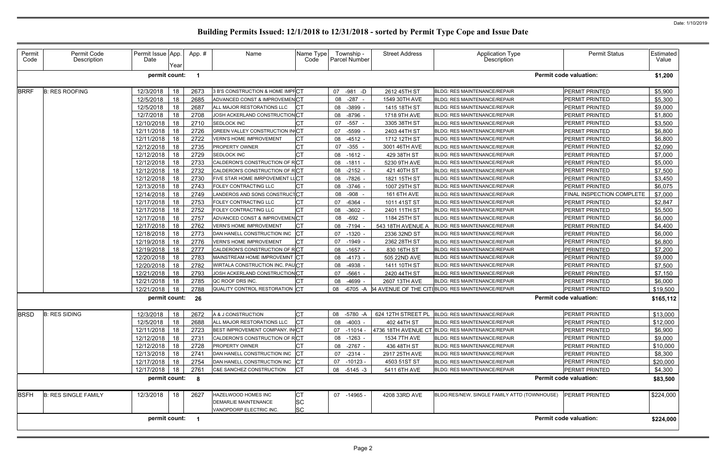| Permit<br>Code | Permit Code<br>Description  | Permit Issue App.<br>Date | Year | App.# | Name                                   | Name Type<br>Code | Township -<br>Parcel Number | <b>Street Address</b> | Application Type<br>Description                          | <b>Permit Status</b>          | Estimated<br>Value |
|----------------|-----------------------------|---------------------------|------|-------|----------------------------------------|-------------------|-----------------------------|-----------------------|----------------------------------------------------------|-------------------------------|--------------------|
|                |                             | permit count:             |      | - 1   |                                        |                   |                             |                       |                                                          | <b>Permit code valuation:</b> | \$1,200            |
| <b>BRRF</b>    | <b>B: RES ROOFING</b>       | 12/3/2018                 | 18   | 2673  | 3 B'S CONSTRUCTION & HOME IMPFCT       |                   | 07 -981 -D                  | 2612 45TH ST          | <b>BLDG: RES MAINTENANCE/REPAIR</b>                      | PERMIT PRINTED                | \$5,900            |
|                |                             | 12/5/2018                 | 18   | 2685  | ADVANCED CONST & IMPROVEMENCT          |                   | $-287 -$<br>08              | 1549 30TH AVE         | <b>BLDG: RES MAINTENANCE/REPAIR</b>                      | PERMIT PRINTED                | \$5,300            |
|                |                             | 12/5/2018                 | 18   | 2687  | ALL MAJOR RESTORATIONS LLC             | Iст               | $-3899$<br>08               | 1415 18TH ST          | <b>BLDG: RES MAINTENANCE/REPAIR</b>                      | PERMIT PRINTED                | \$9,000            |
|                |                             | 12/7/2018                 | 18   | 2708  | JOSH ACKERLAND CONSTRUCTIONCT          |                   | 08<br>-8796                 | 1718 9TH AVE          | <b>BLDG: RES MAINTENANCE/REPAIR</b>                      | PERMIT PRINTED                | \$1,800            |
|                |                             | 12/10/2018                | 18   | 2710  | SEDLOCK INC                            | <b>CT</b>         | $-557 -$<br>07              | 3305 38TH ST          | <b>BLDG: RES MAINTENANCE/REPAIR</b>                      | <b>PERMIT PRINTED</b>         | \$3,500            |
|                |                             | 12/11/2018                | 18   | 2726  | <b>GREEN VALLEY CONSTRUCTION IN CT</b> |                   | $-5599$<br>07               | 2403 44TH ST          | <b>BLDG: RES MAINTENANCE/REPAIR</b>                      | PERMIT PRINTED                | \$6,800            |
|                |                             | 12/11/2018                | 18   | 2722  | <b>VERN'S HOME IMPROVEMENT</b>         | <b>CT</b>         | 08<br>$-4512 -$             | 1712 12TH ST          | BLDG: RES MAINTENANCE/REPAIR                             | PERMIT PRINTED                | \$6,800            |
|                |                             | 12/12/2018                | 18   | 2735  | PROPERTY OWNER                         | <b>CT</b>         | $-355$<br>07                | 3001 46TH AVE         | <b>BLDG: RES MAINTENANCE/REPAIR</b>                      | PERMIT PRINTED                | \$2,090            |
|                |                             | 12/12/2018                | 18   | 2729  | <b>SEDLOCK INC</b>                     | <b>CT</b>         | 08<br>$-1612 -$             | 429 38TH ST           | <b>BLDG: RES MAINTENANCE/REPAIR</b>                      | PERMIT PRINTED                | \$7,000            |
|                |                             | 12/12/2018                | 18   | 2733  | CALDERON'S CONSTRUCTION OF RCT         |                   | 08<br>$-1811 -$             | 5230 9TH AVE          | <b>BLDG: RES MAINTENANCE/REPAIR</b>                      | PERMIT PRINTED                | \$5,000            |
|                |                             | 12/12/2018                | 18   | 2732  | CALDERON'S CONSTRUCTION OF RCT         |                   | 08<br>-2152 -               | 421 40TH ST           | <b>BLDG: RES MAINTENANCE/REPAIR</b>                      | PERMIT PRINTED                | \$7,500            |
|                |                             | 12/12/2018                | 18   | 2730  | FIVE STAR HOME IMRPOVEMENT LLCT        |                   | $-7826$<br>08               | 1821 15TH ST          | <b>BLDG: RES MAINTENANCE/REPAIR</b>                      | PERMIT PRINTED                | \$3,450            |
|                |                             | 12/13/2018                | 18   | 2743  | FOLEY CONTRACTING LLC                  | <b>CT</b>         | $-3746$ -<br>08             | 1007 29TH ST          | BLDG: RES MAINTENANCE/REPAIR                             | PERMIT PRINTED                | \$6,075            |
|                |                             | 12/14/2018                | 18   | 2749  | LANDEROS AND SONS CONSTRUCTCT          |                   | $-908 -$<br>08              | 161 6TH AVE           | <b>BLDG: RES MAINTENANCE/REPAIR</b>                      | FINAL INSPECTION COMPLETE     | \$7,000            |
|                |                             | 12/17/2018                | 18   | 2753  | FOLEY CONTRACTING LLC                  | <b>CT</b>         | $-6364$<br>07               | 1011 41ST ST          | <b>BLDG: RES MAINTENANCE/REPAIR</b>                      | PERMIT PRINTED                | \$2,847            |
|                |                             | 12/17/2018                | 18   | 2752  | FOLEY CONTRACTING LLC                  | Iст               | 08<br>$-3602$               | 2401 11TH ST          | <b>BLDG: RES MAINTENANCE/REPAIR</b>                      | PERMIT PRINTED                | \$5,500            |
|                |                             | 12/17/2018                | 18   | 2757  | ADVANCED CONST & IMPROVEMENCT          |                   | $-692$<br>08                | 1184 25TH ST          | <b>BLDG: RES MAINTENANCE/REPAIR</b>                      | PERMIT PRINTED                | \$6,000            |
|                |                             | 12/17/2018                | 18   | 2762  | <b>VERN'S HOME IMPROVEMENT</b>         | <b>CT</b>         | 08 -7194                    | 543 18TH AVENUE /     | <b>BLDG: RES MAINTENANCE/REPAIR</b>                      | PERMIT PRINTED                | \$4,400            |
|                |                             | 12/18/2018                | 18   | 2773  | DAN HANELL CONSTRUCTION INC            | $ _{\rm CT}$      | $-1320$<br>07               | 2336 32ND ST          | <b>BLDG: RES MAINTENANCE/REPAIR</b>                      | PERMIT PRINTED                | \$6,000            |
|                |                             | 12/19/2018                | 18   | 2776  | <b>VERN'S HOME IMPROVEMENT</b>         | СT                | 07<br>-1949                 | 2362 28TH ST          | <b>BLDG: RES MAINTENANCE/REPAIR</b>                      | <b>PERMIT PRINTED</b>         | \$6,800            |
|                |                             | 12/19/2018                | 18   | 2777  | CALDERON'S CONSTRUCTION OF RCT         |                   | $-1657 -$<br>08             | 830 16TH ST           | <b>BLDG: RES MAINTENANCE/REPAIR</b>                      | PERMIT PRINTED                | \$7,200            |
|                |                             | 12/20/2018                | 18   | 2783  | MAINSTREAM HOME IMPROVEMNT CT          |                   | $-4173 -$<br>08             | 505 22ND AVE          | <b>BLDG: RES MAINTENANCE/REPAIR</b>                      | PERMIT PRINTED                | \$9,000            |
|                |                             | 12/20/2018                | 18   | 2782  | WIRTALA CONSTRUCTION INC, PAUCT        |                   | $-4938$<br>08               | 1411 10TH ST          | <b>BLDG: RES MAINTENANCE/REPAIR</b>                      | <b>PERMIT PRINTED</b>         | \$7,500            |
|                |                             | 12/21/2018                | 18   | 2793  | JOSH ACKERLAND CONSTRUCTION CT         |                   | $-5661$<br>07               | 2420 44TH ST          | <b>BLDG: RES MAINTENANCE/REPAIR</b>                      | PERMIT PRINTED                | \$7,150            |
|                |                             | 12/21/2018                | 18   | 2785  | QC ROOF DRS INC.                       | CT                | -4699<br>08                 | 2607 13TH AVE         | BLDG: RES MAINTENANCE/REPAIR                             | PERMIT PRINTED                | \$6,000            |
|                |                             | 12/21/2018                | 18   | 2788  | QUALITY CONTROL RESTORATION CT         |                   | -6705 -A<br>08              |                       | <b>B4 AVENUE OF THE CITIBLDG: RES MAINTENANCE/REPAIR</b> | PERMIT PRINTED                | \$19,500           |
|                |                             |                           |      |       |                                        |                   |                             |                       |                                                          |                               |                    |
|                |                             | permit count:             |      | 26    |                                        |                   |                             |                       |                                                          | <b>Permit code valuation:</b> | \$165,112          |
| <b>BRSD</b>    | <b>B: RES SIDING</b>        | 12/3/2018                 | 18   | 2672  | A & J CONSTRUCTION                     | ЮI                |                             |                       |                                                          | PERMIT PRINTED                | \$13,000           |
|                |                             | 12/5/2018                 | 18   | 2688  | ALL MAJOR RESTORATIONS LLC             | <b>ICT</b>        | 08 -4003 -                  | 402 44TH ST           | <b>BLDG: RES MAINTENANCE/REPAIR</b>                      | PERMIT PRINTED                | \$12,000           |
|                |                             | 12/11/2018                | 18   | 2723  | BEST IMPROVEMENT COMPANY, IN CT        |                   | $07 - 11014 -$              |                       | 4736 18TH AVENUE CT BLDG: RES MAINTENANCE/REPAIR         | PERMIT PRINTED                | \$6,900            |
|                |                             | 12/12/2018                | 18   | 2731  | CALDERON'S CONSTRUCTION OF RCT         |                   | 08 -1263 -                  | 1534 7TH AVE          | <b>BLDG: RES MAINTENANCE/REPAIR</b>                      | PERMIT PRINTED                | \$9,000            |
|                |                             | 12/12/2018                | 18   | 2728  | <b>PROPERTY OWNER</b>                  |                   | 08 -2767 -                  | 436 48TH ST           | <b>BLDG: RES MAINTENANCE/REPAIR</b>                      | PERMIT PRINTED                | \$10,000           |
|                |                             | 12/13/2018                | 18   | 2741  | DAN HANELL CONSTRUCTION INC CT         |                   | 07<br>-2314 -               | 2917 25TH AVE         | BLDG: RES MAINTENANCE/REPAIR                             | PERMIT PRINTED                | \$8,300            |
|                |                             | 12/17/2018                | 18   | 2754  | DAN HANELL CONSTRUCTION INC CT         |                   | 07 -10123 -                 | 4503 51ST ST          | <b>BLDG: RES MAINTENANCE/REPAIR</b>                      | PERMIT PRINTED                | \$20,000           |
|                |                             | 12/17/2018 18             |      | 2761  | C&E SANCHEZ CONSTRUCTION               | <b>ICT</b>        | 08 -5145 -3                 | 5411 6TH AVE          | <b>BLDG: RES MAINTENANCE/REPAIR</b>                      | PERMIT PRINTED                | \$4,300            |
|                |                             | permit count:             |      | 8     |                                        |                   |                             |                       |                                                          | <b>Permit code valuation:</b> | \$83,500           |
|                |                             |                           |      |       |                                        |                   |                             |                       |                                                          |                               |                    |
| <b>BSFH</b>    | <b>B: RES SINGLE FAMILY</b> | 12/3/2018                 | 18   | 2627  | HAZELWOOD HOMES INC                    | <b>CT</b>         | 07 -14965 -                 | 4208 33RD AVE         | BLDG:RES/NEW, SINGLE FAMILY ATTD (TOWNHOUSE)             | <b>PERMIT PRINTED</b>         | \$224,000          |
|                |                             |                           |      |       | <b>DEMARLIE MAINTENANCE</b>            | <b>SC</b>         |                             |                       |                                                          |                               |                    |
|                |                             | permit count: 1           |      |       | VANOPDORP ELECTRIC INC.                | <b>SC</b>         |                             |                       |                                                          | <b>Permit code valuation:</b> | \$224,000          |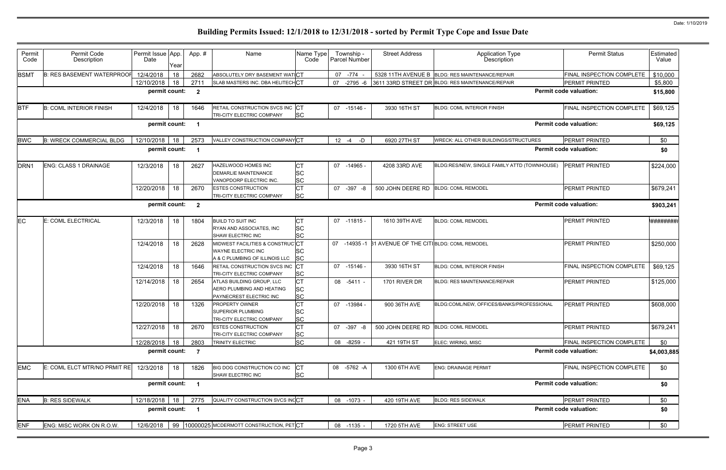|                  | <b>Permit Status</b>          | Estimated<br>Value |
|------------------|-------------------------------|--------------------|
|                  | FINAL INSPECTION COMPLETE     | \$10,000           |
|                  | <b>PERMIT PRINTED</b>         | \$5,800            |
|                  | <b>Permit code valuation:</b> | \$15,800           |
|                  | FINAL INSPECTION COMPLETE     | \$69,125           |
|                  | <b>Permit code valuation:</b> | \$69,125           |
| <b>JRES</b>      | PERMIT PRINTED                | \$0                |
|                  | <b>Permit code valuation:</b> | \$0                |
| <b>OWNHOUSE)</b> | PERMIT PRINTED                | \$224,000          |
|                  | PERMIT PRINTED                | \$679,241          |
|                  | <b>Permit code valuation:</b> | \$903,241          |
|                  | PERMIT PRINTED                | *#########         |
|                  | PERMIT PRINTED                | \$250,000          |
|                  | FINAL INSPECTION COMPLETE     | \$69,125           |
|                  | PERMIT PRINTED                | \$125,000          |
| <b>ESSIONAL</b>  | PERMIT PRINTED                | \$608,000          |
|                  | PERMIT PRINTED                | \$679,241          |
|                  | FINAL INSPECTION COMPLETE     | \$0                |
|                  | <b>Permit code valuation:</b> | \$4,003,885        |
|                  | FINAL INSPECTION COMPLETE     | \$0                |
|                  | <b>Permit code valuation:</b> | \$0                |
|                  | PERMIT PRINTED                | \$0                |
|                  | <b>Permit code valuation:</b> | \$0                |
|                  | PERMIT PRINTED                | \$0                |
|                  |                               |                    |

| Permit<br>Code   | Permit Code<br>Description        | Permit Issue App.<br>Date | Year | App.#                   | Name                                                                                    | Name Type<br>Code                   | Township -<br>Parcel Number | <b>Street Address</b>                          | <b>Application Type</b><br>Description           | <b>Permit Status</b>             | Estimated<br>Value |
|------------------|-----------------------------------|---------------------------|------|-------------------------|-----------------------------------------------------------------------------------------|-------------------------------------|-----------------------------|------------------------------------------------|--------------------------------------------------|----------------------------------|--------------------|
| <b>BSMT</b>      | <b>B: RES BASEMENT WATERPROOF</b> | 12/4/2018                 | 18   | 2682                    | ABSOLUTELY DRY BASEMENT WAT CT                                                          |                                     | 07 -774                     |                                                | 5328 11TH AVENUE B BLDG: RES MAINTENANCE/REPAIR  | <b>FINAL INSPECTION COMPLETE</b> | \$10,000           |
|                  |                                   | 12/10/2018                | 18   | 2711                    | SLAB MASTERS INC. DBA HELITECHCT                                                        |                                     | $-2795 - 6$<br>07           |                                                | 3611 33RD STREET DR BLDG: RES MAINTENANCE/REPAIR | <b>PERMIT PRINTED</b>            | \$5,800            |
|                  |                                   | permit count:             |      | $\overline{2}$          |                                                                                         |                                     |                             |                                                |                                                  | <b>Permit code valuation:</b>    | \$15,800           |
| <b>BTF</b>       | <b>B: COML INTERIOR FINISH</b>    | 12/4/2018                 | 18   | 1646                    | RETAIL CONSTRUCTION SVCS INC CT<br>TRI-CITY ELECTRIC COMPANY                            | <b>SC</b>                           | 07 -15146 -                 | 3930 16TH ST                                   | <b>BLDG: COML INTERIOR FINISH</b>                | FINAL INSPECTION COMPLETE        | \$69,125           |
|                  |                                   | permit count:             |      |                         |                                                                                         |                                     |                             |                                                |                                                  | <b>Permit code valuation:</b>    | \$69,125           |
| <b>BWC</b>       | <b>B: WRECK COMMERCIAL BLDG</b>   | 12/10/2018                | 18   | 2573                    | VALLEY CONSTRUCTION COMPANY CT                                                          |                                     | $-D$<br>$12 - 4$            | 6920 27TH ST                                   | <b>WRECK: ALL OTHER BUILDINGS/STRUCTURES</b>     | <b>PERMIT PRINTED</b>            | \$0                |
| permit count:    |                                   |                           |      |                         |                                                                                         |                                     |                             |                                                |                                                  | <b>Permit code valuation:</b>    | \$0                |
| DRN <sub>1</sub> | ENG: CLASS 1 DRAINAGE             | 12/3/2018                 | 18   | 2627                    | HAZELWOOD HOMES INC<br><b>DEMARLIE MAINTENANCE</b><br>VANOPDORP ELECTRIC INC.           | СT<br><b>SC</b><br>SC               | 07 -14965 -                 | 4208 33RD AVE                                  | BLDG:RES/NEW, SINGLE FAMILY ATTD (TOWNHOUSE)     | <b>PERMIT PRINTED</b>            | \$224,000          |
|                  |                                   | 12/20/2018                | 18   | 2670                    | <b>ESTES CONSTRUCTION</b><br>TRI-CITY ELECTRIC COMPANY                                  | <b>CT</b><br><b>SC</b>              | 07 -397 -8                  | 500 JOHN DEERE RD                              | <b>BLDG: COML REMODEL</b>                        | PERMIT PRINTED                   | \$679,241          |
|                  |                                   | permit count:             |      | $\mathbf{2}$            |                                                                                         |                                     |                             |                                                |                                                  | <b>Permit code valuation:</b>    | \$903,241          |
| EC               | E: COML ELECTRICAL                | 12/3/2018                 | 18   | 1804                    | <b>BUILD TO SUIT INC</b><br>RYAN AND ASSOCIATES, INC<br>SHAW ELECTRIC INC               | <b>CT</b><br><b>SC</b><br>SC        | 07 -11815 -                 | 1610 39TH AVE                                  | <b>BLDG: COML REMODEL</b>                        | <b>PERMIT PRINTED</b>            | *#########         |
|                  |                                   | 12/4/2018                 | 18   | 2628                    | MIDWEST FACILITIES & CONSTRUCCT<br>WAYNE ELECTRIC INC<br>A & C PLUMBING OF ILLINOIS LLC | SC<br><b>SC</b>                     | 07 -14935 -1                | <b>B1 AVENUE OF THE CITIBLDG: COML REMODEL</b> |                                                  | <b>PERMIT PRINTED</b>            | \$250,000          |
|                  |                                   | 12/4/2018                 | 18   | 1646                    | RETAIL CONSTRUCTION SVCS INC<br>TRI-CITY ELECTRIC COMPANY                               | SC                                  | $07 - 15146 -$              | 3930 16TH ST                                   | <b>BLDG: COML INTERIOR FINISH</b>                | FINAL INSPECTION COMPLETE        | \$69,125           |
|                  |                                   | 12/14/2018                | 18   | 2654                    | ATLAS BUILDING GROUP. LLC<br>AERO PLUMBING AND HEATING<br>PAYNECREST ELECTRIC INC       | СT<br>SC<br><b>SC</b>               | 08 -5411 -                  | 1701 RIVER DR                                  | <b>BLDG: RES MAINTENANCE/REPAIR</b>              | <b>PERMIT PRINTED</b>            | \$125,000          |
|                  |                                   | 12/20/2018                | 18   | 1326                    | <b>PROPERTY OWNER</b><br>SUPERIOR PLUMBING<br>TRI-CITY ELECTRIC COMPANY                 | <b>CT</b><br><b>SC</b><br><b>SC</b> | 07 -13984                   | 900 36TH AVE                                   | BLDG:COML/NEW, OFFICES/BANKS/PROFESSIONAL        | <b>PERMIT PRINTED</b>            | \$608,000          |
|                  |                                   | 12/27/2018                | 18   | 2670                    | <b>ESTES CONSTRUCTION</b><br>TRI-CITY ELECTRIC COMPANY                                  | СT<br>SC                            | 07 -397 -8                  | 500 JOHN DEERE RD                              | <b>BLDG: COML REMODEL</b>                        | PERMIT PRINTED                   | \$679,241          |
|                  |                                   | 12/28/2018                | 18   | 2803                    | TRINITY ELECTRIC                                                                        | SC                                  | 08 -8259 -                  | 421 19TH ST                                    | ELEC: WIRING, MISC                               | FINAL INSPECTION COMPLETE        | \$0                |
|                  |                                   | permit count:             |      | $\overline{7}$          |                                                                                         |                                     |                             |                                                |                                                  | <b>Permit code valuation:</b>    | \$4,003,885        |
| <b>EMC</b>       | E: COML ELCT MTR/NO PRMIT RE      | 12/3/2018                 | 18   | 1826                    | BIG DOG CONSTRUCTION CO INC<br>SHAW ELECTRIC INC                                        | CT<br><b>SC</b>                     | 08 -5762 -A                 | 1300 6TH AVE                                   | <b>ENG: DRAINAGE PERMIT</b>                      | FINAL INSPECTION COMPLETE        | \$0                |
|                  |                                   | permit count:             |      |                         |                                                                                         |                                     |                             |                                                |                                                  | <b>Permit code valuation:</b>    | \$0                |
| <b>ENA</b>       | <b>B: RES SIDEWALK</b>            | 12/18/2018                | 18   | 2775                    | QUALITY CONSTRUCTION SVCS INCCT                                                         |                                     | 08 -1073 -                  | 420 19TH AVE                                   | <b>BLDG: RES SIDEWALK</b>                        | PERMIT PRINTED                   | \$0                |
|                  |                                   | permit count:             |      | $\overline{\mathbf{1}}$ |                                                                                         |                                     |                             |                                                |                                                  | <b>Permit code valuation:</b>    | \$0                |
| <b>ENF</b>       | ENG: MISC WORK ON R.O.W.          | 12/6/2018                 |      |                         | 99 10000025 MCDERMOTT CONSTRUCTION, PETCT                                               |                                     | 08 -1135 -                  | 1720 5TH AVE                                   | <b>ENG: STREET USE</b>                           | <b>PERMIT PRINTED</b>            | \$0                |
|                  |                                   |                           |      |                         |                                                                                         |                                     |                             |                                                |                                                  |                                  |                    |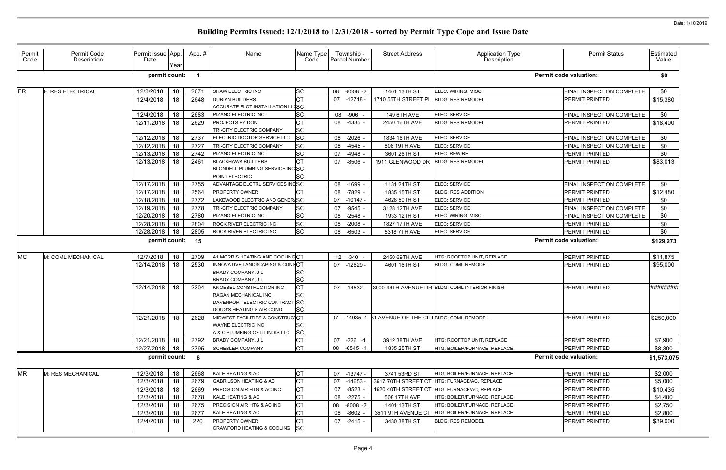| Permit<br>Code | Permit Code<br>Description | Permit Issue App.<br>Date | Year | App.# | Name                                                                                                             | Name Type<br>Code                   | Township -<br>Parcel Number | <b>Street Address</b>                                | Application Type<br>Description                | <b>Permit Status</b>          | Estimated <sup>1</sup><br>Value |
|----------------|----------------------------|---------------------------|------|-------|------------------------------------------------------------------------------------------------------------------|-------------------------------------|-----------------------------|------------------------------------------------------|------------------------------------------------|-------------------------------|---------------------------------|
|                |                            | permit count:             |      |       |                                                                                                                  |                                     |                             |                                                      |                                                | <b>Permit code valuation:</b> | \$0                             |
| ER             | <b>E: RES ELECTRICAL</b>   | 12/3/2018                 | 18   | 2671  | SHAW ELECTRIC INC                                                                                                | <b>SC</b>                           | 08 -8008 -2                 | 1401 13TH ST                                         | ELEC: WIRING, MISC                             | FINAL INSPECTION COMPLETE     | \$0                             |
|                |                            | 12/4/2018                 | 18   | 2648  | <b>DURIAN BUILDERS</b><br><b>ACCURATE ELCT INSTALLATION LLISC</b>                                                | <b>CT</b>                           | 07 -12718 -                 | 1710 55TH STREET PL BLDG: RES REMODEL                |                                                | PERMIT PRINTED                | \$15,380                        |
|                |                            | 12/4/2018                 | 18   | 2683  | PIZANO ELECTRIC INC                                                                                              | <b>SC</b>                           | -906 -<br>08                | 149 6TH AVE                                          | ELEC: SERVICE                                  | FINAL INSPECTION COMPLETE     | \$0                             |
|                |                            | 12/11/2018                | 18   | 2629  | PROJECTS BY DON<br>TRI-CITY ELECTRIC COMPANY                                                                     | <b>CT</b><br><b>SC</b>              | 08 -4335 -                  | 2450 16TH AVE                                        | <b>BLDG: RES REMODEL</b>                       | PERMIT PRINTED                | \$18,400                        |
|                |                            | 12/12/2018                | 18   | 2737  | ELECTRIC DOCTOR SERVICE LLC                                                                                      | <b>SC</b>                           | 08<br>$-2026$               | 1834 16TH AVE                                        | ELEC: SERVICE                                  | FINAL INSPECTION COMPLETE     | \$0                             |
|                |                            | 12/12/2018                | 18   | 2727  | TRI-CITY ELECTRIC COMPANY                                                                                        | <b>SC</b>                           | $-4545$<br>08               | 808 19TH AVE                                         | ELEC: SERVICE                                  | FINAL INSPECTION COMPLETE     | \$0                             |
|                |                            | 12/13/2018                | 18   | 2742  | PIZANO ELECTRIC INC                                                                                              | <b>SC</b>                           | -4948<br>07                 | 3601 26TH ST                                         | ELEC: REWIRE                                   | PERMIT PRINTED                | \$0                             |
|                |                            | 12/13/2018                | 18   | 2461  | <b>BLACKHAWK BUILDERS</b><br>BLONDELL PLUMBING SERVICE INCSC<br>POINT ELECTRIC                                   | <b>CT</b><br><b>SC</b>              | $-8506$<br>07               | 1911 GLENWOOD DR BLDG: RES REMODEL                   |                                                | PERMIT PRINTED                | \$83,013                        |
|                |                            | 12/17/2018                | 18   | 2755  | ADVANTAGE ELCTRL SERVICES INCSC                                                                                  |                                     | 08<br>$-1699 -$             | 1131 24TH ST                                         | ELEC: SERVICE                                  | FINAL INSPECTION COMPLETE     | \$0                             |
|                |                            | 12/17/2018                | 18   | 2564  | PROPERTY OWNER                                                                                                   | СT                                  | 08<br>-7829 -               | 1835 15TH ST                                         | <b>BLDG: RES ADDITION</b>                      | <b>PERMIT PRINTED</b>         | \$12,480                        |
|                |                            | 12/18/2018                | 18   | 2772  | LAKEWOOD ELECTRIC AND GENER SC                                                                                   |                                     | 07<br>-10147 -              | 4628 50TH ST                                         | ELEC: SERVICE                                  | <b>PERMIT PRINTED</b>         | \$0                             |
|                |                            | 12/19/2018                | 18   | 2778  | TRI-CITY ELECTRIC COMPANY                                                                                        | <b>SC</b>                           | $-9545 -$<br>07             | 3128 12TH AVE                                        | ELEC: SERVICE                                  | FINAL INSPECTION COMPLETE     | \$0                             |
|                |                            | 12/20/2018                | 18   | 2780  | PIZANO ELECTRIC INC                                                                                              | <b>SC</b>                           | $-2548$ -<br>08             | 1933 12TH ST                                         | ELEC: WIRING, MISC                             | FINAL INSPECTION COMPLETE     | \$0                             |
|                |                            | 12/28/2018                | 18   | 2804  | ROCK RIVER ELECTRIC INC                                                                                          | <b>SC</b>                           | $-2008$<br>08               | 1827 17TH AVE                                        | ELEC: SERVICE                                  | PERMIT PRINTED                | \$0                             |
|                |                            | 12/28/2018                | 18   | 2805  | ROCK RIVER ELECTRIC INC                                                                                          | <b>SC</b>                           | $-6503$<br>08               | 5318 7TH AVE                                         | ELEC: SERVICE                                  | PERMIT PRINTED                | \$0                             |
|                |                            | permit count:             |      | 15    |                                                                                                                  |                                     |                             |                                                      |                                                | <b>Permit code valuation:</b> | \$129,273                       |
| <b>MC</b>      | M: COML MECHANICAL         | 12/7/2018                 | 18   | 2709  | A1 MORRIS HEATING AND COOLINGCT                                                                                  |                                     | 12 -340 -                   | 2450 69TH AVE                                        | HTG: ROOFTOP UNIT, REPLACE                     | PERMIT PRINTED                | \$11,875                        |
|                |                            | 12/14/2018                | 18   | 2530  | INNOVATIVE LANDSCAPING & CONSCT<br>BRADY COMPANY, J L<br>BRADY COMPANY, J L                                      | <b>SC</b><br><b>SC</b>              | 07 -12629 -                 | 4601 16TH ST                                         | <b>BLDG: COML REMODEL</b>                      | <b>PERMIT PRINTED</b>         | \$95,000                        |
|                |                            | 12/14/2018                | 18   | 2304  | KNOEBEL CONSTRUCTION INC<br>RAGAN MECHANICAL INC.<br>DAVENPORT ELECTRIC CONTRACT SC<br>DOUG'S HEATING & AIR COND | <b>CT</b><br><b>SC</b><br><b>SC</b> | $07 - 14532$                |                                                      | 3900 44TH AVENUE DR BLDG: COML INTERIOR FINISH | <b>PERMIT PRINTED</b>         | *#########                      |
|                |                            | 12/21/2018 18             |      | 2628  | MIDWEST FACILITIES & CONSTRUCCT<br><b>WAYNE ELECTRIC INC</b><br>A & C PLUMBING OF ILLINOIS LLC SC                | <b>SC</b>                           |                             | 07 -14935 -1 B1 AVENUE OF THE CITIBLDG: COML REMODEL |                                                | <b>PERMIT PRINTED</b>         | \$250,000                       |
|                |                            | 12/21/2018                | 18   | 2792  | BRADY COMPANY, J L                                                                                               | <b>CT</b>                           | 07 -226 -1                  | 3912 38TH AVE                                        | HTG: ROOFTOP UNIT, REPLACE                     | PERMIT PRINTED                | \$7,900                         |
|                |                            | 12/27/2018 18             |      | 2795  | <b>SCHEBLER COMPANY</b>                                                                                          | <b>CT</b>                           | 08 -6545 -1                 | 1835 25TH ST                                         | HTG: BOILER/FURNACE, REPLACE                   | PERMIT PRINTED                | \$8,300                         |
|                |                            | permit count:             |      | - 6   |                                                                                                                  |                                     |                             |                                                      |                                                | <b>Permit code valuation:</b> | \$1,573,075                     |
| <b>MR</b>      | M: RES MECHANICAL          | 12/3/2018                 | 18   | 2668  | KALE HEATING & AC                                                                                                | <b>CT</b>                           | 07 -13747 -                 | 3741 53RD ST                                         | HTG: BOILER/FURNACE, REPLACE                   | PERMIT PRINTED                | \$2,000                         |
|                |                            | 12/3/2018                 | 18   | 2679  | <b>GABRILSON HEATING &amp; AC</b>                                                                                | <b>CT</b>                           | 07 -14653                   |                                                      | 3617 70TH STREET CT HTG: FURNACE/AC, REPLACE   | PERMIT PRINTED                | \$5,000                         |
|                |                            | 12/3/2018                 | 18   | 2669  | PRECISION AIR HTG & AC INC                                                                                       | <b>CT</b>                           | 07 -8523                    |                                                      | 1620 40TH STREET CT HTG: FURNACE/AC, REPLACE   | PERMIT PRINTED                | \$10,435                        |
|                |                            | 12/3/2018                 | 18   | 2678  | KALE HEATING & AC                                                                                                | <b>CT</b>                           | 08 -2275 -                  | 508 17TH AVE                                         | HTG: BOILER/FURNACE, REPLACE                   | PERMIT PRINTED                | \$4,400                         |
|                |                            | 12/3/2018                 | 18   | 2675  | PRECISION AIR HTG & AC INC                                                                                       | <b>CT</b>                           | 08 -8008 -2                 | 1401 13TH ST                                         | HTG: BOILER/FURNACE, REPLACE                   | PERMIT PRINTED                | \$2,750                         |
|                |                            | 12/3/2018                 | 18   | 2677  | KALE HEATING & AC                                                                                                | <b>CT</b>                           | $-8602$<br>08               | 3511 9TH AVENUE CT                                   | HTG: BOILER/FURNACE, REPLACE                   | PERMIT PRINTED                | \$2,800                         |
|                |                            | 12/4/2018                 | 18   | 220   | PROPERTY OWNER<br>CRAWFORD HEATING & COOLING SC                                                                  | СT                                  | 07 -2415 -                  | 3430 38TH ST                                         | <b>BLDG: RES REMODEL</b>                       | <b>PERMIT PRINTED</b>         | \$39,000                        |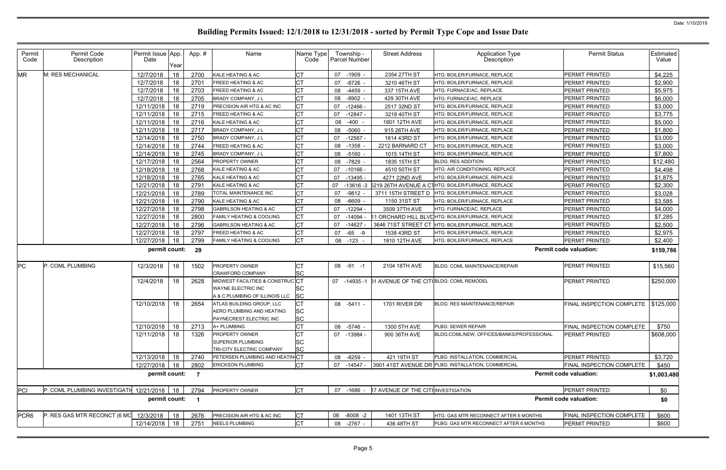| Permit<br>Code<br><b>MR</b> | Permit Code<br>Description<br>M: RES MECHANICAL | Permit Issue App.<br>Date<br>12/7/2018<br>12/7/2018<br>12/7/2018<br>12/7/2018<br>12/11/2018<br>12/11/2018<br>12/11/2018<br>12/11/2018<br>12/14/2018<br>12/14/2018<br>12/14/2018<br>12/17/2018 | Year<br>18<br>18<br>18<br>18<br>18<br>18<br>18<br>18<br>18<br>18 | App.#<br>2700<br>2701<br>2703<br>2705<br>2719<br>2715<br>2716<br>2717<br>2750<br>2744 | Name<br>KALE HEATING & AC<br><b>FREED HEATING &amp; AC</b><br><b>FREED HEATING &amp; AC</b><br>BRADY COMPANY, J L<br>PRECISION AIR HTG & AC INC<br><b>FREED HEATING &amp; AC</b><br>KALE HEATING & AC<br>BRADY COMPANY, J L | Name Type<br>Code                   | Township -<br><b>Parcel Number</b><br>07 -1909<br>$-8726$ -<br>07<br>-4459 -<br>08<br>$-8902 -$<br>08<br>07<br>$-12466$<br>-12847 -<br>07<br>$-400 -$ | <b>Street Address</b><br>2354 27TH ST<br>3210 46TH ST<br>337 15TH AVE<br>429 30TH AVE<br>2517 32ND ST<br>3218 40TH ST | <b>Application Type</b><br>Description<br>HTG: BOILER/FURNACE, REPLACE<br>HTG: BOILER/FURNACE, REPLACE<br>HTG: FURNACE/AC, REPLACE<br>HTG: FURNACE/AC, REPLACE<br>HTG: BOILER/FURNACE, REPLACE | <b>Permit Status</b><br>PERMIT PRINTED<br><b>PERMIT PRINTED</b><br><b>PERMIT PRINTED</b><br>PERMIT PRINTED<br><b>PERMIT PRINTED</b> | Estimated<br>Value<br>\$4,225<br>\$2,900<br>\$5,975<br>\$6,000<br>\$3,000 |
|-----------------------------|-------------------------------------------------|-----------------------------------------------------------------------------------------------------------------------------------------------------------------------------------------------|------------------------------------------------------------------|---------------------------------------------------------------------------------------|-----------------------------------------------------------------------------------------------------------------------------------------------------------------------------------------------------------------------------|-------------------------------------|-------------------------------------------------------------------------------------------------------------------------------------------------------|-----------------------------------------------------------------------------------------------------------------------|------------------------------------------------------------------------------------------------------------------------------------------------------------------------------------------------|-------------------------------------------------------------------------------------------------------------------------------------|---------------------------------------------------------------------------|
|                             |                                                 |                                                                                                                                                                                               |                                                                  |                                                                                       |                                                                                                                                                                                                                             |                                     |                                                                                                                                                       |                                                                                                                       |                                                                                                                                                                                                |                                                                                                                                     |                                                                           |
|                             |                                                 |                                                                                                                                                                                               |                                                                  |                                                                                       |                                                                                                                                                                                                                             |                                     |                                                                                                                                                       |                                                                                                                       |                                                                                                                                                                                                |                                                                                                                                     |                                                                           |
|                             |                                                 |                                                                                                                                                                                               |                                                                  |                                                                                       |                                                                                                                                                                                                                             |                                     |                                                                                                                                                       |                                                                                                                       |                                                                                                                                                                                                |                                                                                                                                     |                                                                           |
|                             |                                                 |                                                                                                                                                                                               |                                                                  |                                                                                       |                                                                                                                                                                                                                             |                                     |                                                                                                                                                       |                                                                                                                       |                                                                                                                                                                                                |                                                                                                                                     |                                                                           |
|                             |                                                 |                                                                                                                                                                                               |                                                                  |                                                                                       |                                                                                                                                                                                                                             |                                     |                                                                                                                                                       |                                                                                                                       |                                                                                                                                                                                                |                                                                                                                                     |                                                                           |
|                             |                                                 |                                                                                                                                                                                               |                                                                  |                                                                                       |                                                                                                                                                                                                                             |                                     |                                                                                                                                                       |                                                                                                                       |                                                                                                                                                                                                |                                                                                                                                     |                                                                           |
|                             |                                                 |                                                                                                                                                                                               |                                                                  |                                                                                       |                                                                                                                                                                                                                             |                                     |                                                                                                                                                       |                                                                                                                       | HTG: BOILER/FURNACE, REPLACE                                                                                                                                                                   | <b>PERMIT PRINTED</b>                                                                                                               | \$3,775                                                                   |
|                             |                                                 |                                                                                                                                                                                               |                                                                  |                                                                                       |                                                                                                                                                                                                                             |                                     | 08                                                                                                                                                    | 1801 12TH AVE                                                                                                         | HTG: BOILER/FURNACE. REPLACE                                                                                                                                                                   | PERMIT PRINTED                                                                                                                      | \$5,000                                                                   |
|                             |                                                 |                                                                                                                                                                                               |                                                                  |                                                                                       |                                                                                                                                                                                                                             |                                     | -5060 -<br>08                                                                                                                                         | 915 26TH AVE                                                                                                          | HTG: BOILER/FURNACE, REPLACE                                                                                                                                                                   | PERMIT PRINTED                                                                                                                      | \$1,800                                                                   |
|                             |                                                 |                                                                                                                                                                                               |                                                                  |                                                                                       | BRADY COMPANY, J L                                                                                                                                                                                                          | СT                                  | $-12567$<br>07                                                                                                                                        | 1814 43RD ST                                                                                                          | HTG: BOILER/FURNACE, REPLACE                                                                                                                                                                   | PERMIT PRINTED                                                                                                                      | \$3,000                                                                   |
|                             |                                                 |                                                                                                                                                                                               |                                                                  |                                                                                       | <b>FREED HEATING &amp; AC</b>                                                                                                                                                                                               |                                     | 08 -1358                                                                                                                                              | 2212 BARNARD CT                                                                                                       | HTG: BOILER/FURNACE, REPLACE                                                                                                                                                                   | <b>PERMIT PRINTED</b>                                                                                                               | \$3,000                                                                   |
|                             |                                                 |                                                                                                                                                                                               | 18                                                               | 2745                                                                                  | BRADY COMPANY, J L                                                                                                                                                                                                          |                                     | 08 -5160 -                                                                                                                                            | 1015 14TH ST                                                                                                          | HTG: BOILER/FURNACE, REPLACE                                                                                                                                                                   | PERMIT PRINTED                                                                                                                      | \$7,800                                                                   |
|                             |                                                 |                                                                                                                                                                                               | 18                                                               | 2564                                                                                  | <b>PROPERTY OWNER</b>                                                                                                                                                                                                       |                                     | -7829<br>08                                                                                                                                           | 1835 15TH ST                                                                                                          | <b>BLDG: RES ADDITION</b>                                                                                                                                                                      | <b>PERMIT PRINTED</b>                                                                                                               | \$12,480                                                                  |
|                             |                                                 | 12/18/2018                                                                                                                                                                                    | 18                                                               | 2768                                                                                  | KALE HEATING & AC                                                                                                                                                                                                           |                                     | $-10166$ -<br>07                                                                                                                                      | 4510 50TH ST                                                                                                          | HTG: AIR CONDITIONING, REPLACE                                                                                                                                                                 | <b>PERMIT PRINTED</b>                                                                                                               | \$4,498                                                                   |
|                             |                                                 | 12/18/2018                                                                                                                                                                                    | 18                                                               | 2765                                                                                  | KALE HEATING & AC                                                                                                                                                                                                           |                                     | 07<br>-13495 -                                                                                                                                        | 4271 22ND AVE                                                                                                         | HTG: BOILER/FURNACE, REPLACE                                                                                                                                                                   | <b>PERMIT PRINTED</b>                                                                                                               | \$1,875                                                                   |
|                             |                                                 | 12/21/2018                                                                                                                                                                                    | 18                                                               | 2791                                                                                  | KALE HEATING & AC                                                                                                                                                                                                           |                                     | 07                                                                                                                                                    |                                                                                                                       | -13616 -3 5219 26TH AVENUE A CTHTG: BOILER/FURNACE, REPLACE                                                                                                                                    | <b>PERMIT PRINTED</b>                                                                                                               | \$2,300                                                                   |
|                             |                                                 | 12/21/2018                                                                                                                                                                                    | 18                                                               | 2789                                                                                  | TOTAL MAINTENANCE INC                                                                                                                                                                                                       |                                     | 07<br>-9812                                                                                                                                           | 3711 15TH STREET D                                                                                                    | HTG: BOILER/FURNACE, REPLACE                                                                                                                                                                   | PERMIT PRINTED                                                                                                                      | \$3,028                                                                   |
|                             |                                                 | 12/21/2018                                                                                                                                                                                    | 18                                                               | 2790                                                                                  | KALE HEATING & AC                                                                                                                                                                                                           |                                     | $-6609$<br>08                                                                                                                                         | 1150 31ST ST                                                                                                          | HTG: BOILER/FURNACE, REPLACE                                                                                                                                                                   | <b>PERMIT PRINTED</b>                                                                                                               | \$3,585                                                                   |
|                             |                                                 | 12/27/2018                                                                                                                                                                                    | 18                                                               | 2798                                                                                  | <b>GABRILSON HEATING &amp; AC</b>                                                                                                                                                                                           | <b>CT</b>                           | $-12294$<br>07                                                                                                                                        | 3509 37TH AVE                                                                                                         | HTG: FURNACE/AC, REPLACE                                                                                                                                                                       | PERMIT PRINTED                                                                                                                      | \$4,000                                                                   |
|                             |                                                 | 12/27/2018                                                                                                                                                                                    | 18                                                               | 2800                                                                                  | FAMILY HEATING & COOLING                                                                                                                                                                                                    |                                     | -14094<br>07                                                                                                                                          |                                                                                                                       | 11 ORCHARD HILL BLVDHTG: BOILER/FURNACE, REPLACE                                                                                                                                               | <b>PERMIT PRINTED</b>                                                                                                               | \$7,285                                                                   |
|                             |                                                 | 12/27/2018                                                                                                                                                                                    | 18                                                               | 2796                                                                                  | <b>GABRILSON HEATING &amp; AC</b>                                                                                                                                                                                           |                                     | -14627<br>07                                                                                                                                          | 3646 71ST STREET CT                                                                                                   | HTG: BOILER/FURNACE, REPLACE                                                                                                                                                                   | <b>PERMIT PRINTED</b>                                                                                                               | \$2,500                                                                   |
|                             |                                                 | 12/27/2018                                                                                                                                                                                    | 18                                                               | 2797                                                                                  | <b>FREED HEATING &amp; AC</b>                                                                                                                                                                                               |                                     | 07<br>-65 -9                                                                                                                                          | 1538 43RD ST                                                                                                          | HTG: BOILER/FURNACE, REPLACE                                                                                                                                                                   | <b>PERMIT PRINTED</b>                                                                                                               | \$2,975                                                                   |
|                             |                                                 | 12/27/2018                                                                                                                                                                                    | 18                                                               | 2799                                                                                  | FAMILY HEATING & COOLING                                                                                                                                                                                                    | СT                                  | 08<br>$-123$                                                                                                                                          | 1810 12TH AVE                                                                                                         | HTG: BOILER/FURNACE, REPLACE                                                                                                                                                                   | PERMIT PRINTED                                                                                                                      | \$2,400                                                                   |
|                             |                                                 | permit count:                                                                                                                                                                                 |                                                                  | 29                                                                                    |                                                                                                                                                                                                                             |                                     |                                                                                                                                                       |                                                                                                                       |                                                                                                                                                                                                | <b>Permit code valuation:</b>                                                                                                       | \$159,786                                                                 |
| PC                          | P: COML PLUMBING                                | 12/3/2018                                                                                                                                                                                     | 18                                                               | 1502                                                                                  | <b>PROPERTY OWNER</b><br><b>CRAWFORD COMPANY</b>                                                                                                                                                                            | <b>CT</b><br><b>SC</b>              | 08 -91 -1                                                                                                                                             | 2104 18TH AVE                                                                                                         | <b>BLDG: COML MAINTENANCE/REPAIR</b>                                                                                                                                                           | <b>PERMIT PRINTED</b>                                                                                                               | \$15,560                                                                  |
|                             |                                                 | 12/4/2018                                                                                                                                                                                     | 18                                                               | 2628                                                                                  | MIDWEST FACILITIES & CONSTRUCCT<br>WAYNE ELECTRIC INC<br>A & C PLUMBING OF ILLINOIS LLC                                                                                                                                     | <b>SC</b><br><b>SC</b>              | 07 -14935 -1                                                                                                                                          | <b>B1 AVENUE OF THE CITIBLDG: COML REMODEL</b>                                                                        |                                                                                                                                                                                                | <b>PERMIT PRINTED</b>                                                                                                               | \$250,000                                                                 |
|                             |                                                 | 12/10/2018                                                                                                                                                                                    | 18                                                               | 2654                                                                                  | ATLAS BUILDING GROUP, LLC<br>AERO PLUMBING AND HEATING<br>PAYNECREST ELECTRIC INC                                                                                                                                           | Isc.<br><b>SC</b>                   | 08 -5411 -                                                                                                                                            | 1701 RIVER DR                                                                                                         | <b>BLDG: RES MAINTENANCE/REPAIR</b>                                                                                                                                                            | FINAL INSPECTION COMPLETE                                                                                                           | \$125,000                                                                 |
|                             |                                                 | 12/10/2018                                                                                                                                                                                    | 18                                                               | 2713                                                                                  | A+ PLUMBING                                                                                                                                                                                                                 | СT                                  | 08 -5746 -                                                                                                                                            | 1300 5TH AVE                                                                                                          | PLBG: SEWER REPAIR                                                                                                                                                                             | FINAL INSPECTION COMPLETE                                                                                                           | \$750                                                                     |
|                             |                                                 | 12/11/2018                                                                                                                                                                                    | 18                                                               | 1326                                                                                  | <b>PROPERTY OWNER</b><br><b>SUPERIOR PLUMBING</b><br>TRI-CITY ELECTRIC COMPANY                                                                                                                                              | <b>CT</b><br><b>SC</b><br><b>SC</b> | 07 -13984 -                                                                                                                                           | 900 36TH AVE                                                                                                          | BLDG:COML/NEW, OFFICES/BANKS/PROFESSIONAL                                                                                                                                                      | <b>PERMIT PRINTED</b>                                                                                                               | \$608,000                                                                 |
|                             |                                                 | 12/13/2018                                                                                                                                                                                    | 18                                                               | 2740                                                                                  | PETERSEN PLUMBING AND HEATINCT                                                                                                                                                                                              |                                     | 08<br>$-8259 -$                                                                                                                                       | 421 19TH ST                                                                                                           | <b>PLBG: INSTALLATION, COMMERCIAL</b>                                                                                                                                                          | <b>PERMIT PRINTED</b>                                                                                                               | \$3,720                                                                   |
|                             |                                                 | 12/27/2018                                                                                                                                                                                    | 18                                                               | 2802                                                                                  | <b>ERICKSON PLUMBING</b>                                                                                                                                                                                                    | CT                                  | 07 -14547 -                                                                                                                                           |                                                                                                                       | 3901 41ST AVENUE DR PLBG: INSTALLATION, COMMERCIAL                                                                                                                                             | <b>FINAL INSPECTION COMPLETE</b>                                                                                                    | \$450                                                                     |
|                             |                                                 | permit count:                                                                                                                                                                                 |                                                                  | 7                                                                                     |                                                                                                                                                                                                                             |                                     |                                                                                                                                                       |                                                                                                                       |                                                                                                                                                                                                | <b>Permit code valuation:</b>                                                                                                       | \$1,003,480                                                               |
| PCI                         | P: COML PLUMBING INVESTIGATI 12/21/2018         |                                                                                                                                                                                               | 18                                                               | 2794                                                                                  | PROPERTY OWNER                                                                                                                                                                                                              | <b>CT</b>                           | 07 -1686                                                                                                                                              | 17 AVENUE OF THE CITI INVESTIGATION                                                                                   |                                                                                                                                                                                                | PERMIT PRINTED                                                                                                                      | \$0                                                                       |
|                             |                                                 | permit count:                                                                                                                                                                                 |                                                                  | -1                                                                                    |                                                                                                                                                                                                                             |                                     |                                                                                                                                                       |                                                                                                                       |                                                                                                                                                                                                | <b>Permit code valuation:</b>                                                                                                       | \$0                                                                       |
| PCR <sub>6</sub>            | P: RES GAS MTR RECONCT (6 MO                    | 12/3/2018                                                                                                                                                                                     | 18                                                               | 2676                                                                                  | PRECISION AIR HTG & AC INC                                                                                                                                                                                                  | Iст                                 | 08 -8008 -2                                                                                                                                           | 1401 13TH ST                                                                                                          | HTG: GAS MTR RECONNECT AFTER 6 MONTHS                                                                                                                                                          | FINAL INSPECTION COMPLETE                                                                                                           | \$600                                                                     |
|                             |                                                 | 12/14/2018                                                                                                                                                                                    | 18                                                               | 2751                                                                                  | <b>NEELS PLUMBING</b>                                                                                                                                                                                                       | СT                                  | 08 -2767 -                                                                                                                                            | 436 48TH ST                                                                                                           | PLBG: GAS MTR RECONNECT AFTER 6 MONTHS                                                                                                                                                         | <b>PERMIT PRINTED</b>                                                                                                               | \$600                                                                     |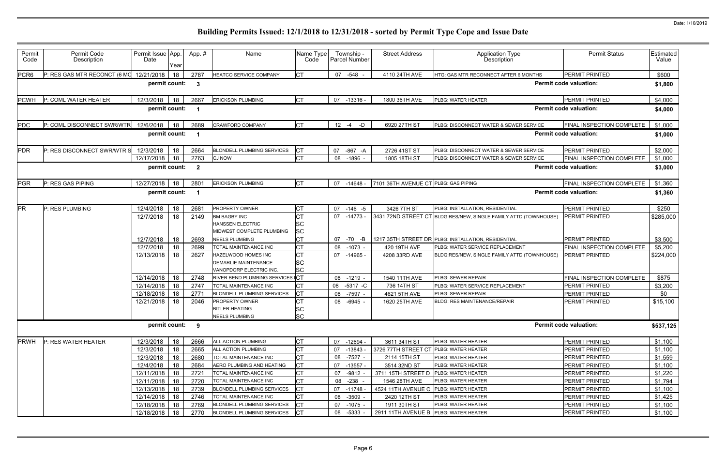| Permit<br>Code   | Permit Code<br>Description   | Permit Issue App.<br>Date | Year | App.#          | Name                                                 | Name Type<br>Code | Township -<br>Parcel Number | <b>Street Address</b>                  | <b>Application Type</b><br>Description                           | <b>Permit Status</b>             | Estimated<br>Value |
|------------------|------------------------------|---------------------------|------|----------------|------------------------------------------------------|-------------------|-----------------------------|----------------------------------------|------------------------------------------------------------------|----------------------------------|--------------------|
| PCR <sub>6</sub> | P: RES GAS MTR RECONCT (6 MO | 12/21/2018                | 18   | 2787           | HEATCO SERVICE COMPANY                               | <b>CT</b>         | 07 -548 -                   | 4110 24TH AVE                          | HTG: GAS MTR RECONNECT AFTER 6 MONTHS                            | <b>PERMIT PRINTED</b>            | \$600              |
|                  |                              | permit count:             |      | $\mathbf{3}$   |                                                      |                   |                             |                                        |                                                                  | <b>Permit code valuation:</b>    | \$1,800            |
| <b>PCWH</b>      | P: COML WATER HEATER         | 12/3/2018                 | 18   | 2667           | <b>ERICKSON PLUMBING</b>                             | <b>CT</b>         | 07 -13316 -                 | 1800 36TH AVE                          | <b>PLBG: WATER HEATER</b>                                        | PERMIT PRINTED                   | \$4,000            |
|                  |                              | permit count:             |      |                |                                                      |                   |                             |                                        |                                                                  | <b>Permit code valuation:</b>    | \$4,000            |
| PDC              | P: COML DISCONNECT SWR/WTR   | 12/6/2018                 | 18   | 2689           | <b>CRAWFORD COMPANY</b>                              | <b>CT</b>         | $-D$<br>$12 - 4$            | 6920 27TH ST                           | PLBG: DISCONNECT WATER & SEWER SERVICE                           | <b>FINAL INSPECTION COMPLETE</b> | \$1,000            |
|                  |                              | permit count:             |      |                |                                                      |                   |                             |                                        |                                                                  | <b>Permit code valuation:</b>    | \$1,000            |
| <b>PDR</b>       | P: RES DISCONNECT SWR/WTR S  | 12/3/2018                 | 18   | 2664           | <b>BLONDELL PLUMBING SERVICES</b>                    | СT                | -867 -A<br>07               | 2726 41ST ST                           | PLBG: DISCONNECT WATER & SEWER SERVICE                           | <b>PERMIT PRINTED</b>            | \$2,000            |
|                  |                              | 12/17/2018                | 18   | 2763           | <b>CJ NOW</b>                                        | <b>CT</b>         | $-1896$ -<br>08             | 1805 18TH ST                           | PLBG: DISCONNECT WATER & SEWER SERVICE                           | FINAL INSPECTION COMPLETE        | \$1,000            |
|                  |                              | permit count:             |      | $\overline{2}$ |                                                      |                   |                             |                                        |                                                                  | <b>Permit code valuation:</b>    | \$3,000            |
| <b>PGR</b>       | P: RES GAS PIPING            | 12/27/2018                | 18   | 2801           | <b>ERICKSON PLUMBING</b>                             | Iст               | 07 -14648 -                 | 7101 36TH AVENUE CT PLBG: GAS PIPING   |                                                                  | FINAL INSPECTION COMPLETE        | \$1,360            |
|                  |                              | permit count:             |      |                |                                                      |                   |                             |                                        |                                                                  | <b>Permit code valuation:</b>    | \$1,360            |
|                  |                              |                           |      |                |                                                      |                   |                             |                                        |                                                                  |                                  |                    |
| <b>PR</b>        | P: RES PLUMBING              | 12/4/2018                 | 18   | 2681           | PROPERTY OWNER                                       | <b>CT</b>         | 07 -146 -5                  | 3426 7TH ST                            | PLBG: INSTALLATION, RESIDENTIAL                                  | <b>PERMIT PRINTED</b>            | \$250              |
|                  |                              | 12/7/2018                 | 18   | 2149           | <b>BM BAGBY INC</b>                                  | СT                | 07 -14773 -                 |                                        | 3431 72ND STREET CT BLDG:RES/NEW, SINGLE FAMILY ATTD (TOWNHOUSE) | <b>PERMIT PRINTED</b>            | \$285,000          |
|                  |                              |                           |      |                | <b>HANSSEN ELECTRIC</b><br>MIDWEST COMPLETE PLUMBING | SC                |                             |                                        |                                                                  |                                  |                    |
|                  |                              | 12/7/2018                 | 18   | 2693           | <b>NEELS PLUMBING</b>                                | <b>SC</b><br>СT   | 07<br>-70<br>$-B$           |                                        | 1217 35TH STREET DR PLBG: INSTALLATION, RESIDENTIAL              | PERMIT PRINTED                   | \$3,500            |
|                  |                              | 12/7/2018                 | 18   | 2699           | TOTAL MAINTENANCE INC                                | СT                | $-1073 -$<br>08             | 420 19TH AVE                           | PLBG: WATER SERVICE REPLACEMENT                                  | FINAL INSPECTION COMPLETE        | \$5,200            |
|                  |                              | 12/13/2018                | 18   | 2627           | HAZELWOOD HOMES INC                                  | <b>CT</b>         | 07 -14965 -                 | 4208 33RD AVE                          | BLDG:RES/NEW, SINGLE FAMILY ATTD (TOWNHOUSE)                     | <b>PERMIT PRINTED</b>            | \$224,000          |
|                  |                              |                           |      |                | <b>DEMARLIE MAINTENANCE</b>                          | <b>SC</b>         |                             |                                        |                                                                  |                                  |                    |
|                  |                              |                           |      |                | VANOPDORP ELECTRIC INC.                              | <b>SC</b>         |                             |                                        |                                                                  |                                  |                    |
|                  |                              | 12/14/2018                | 18   | 2748           | RIVER BEND PLUMBING SERVICES CT                      |                   | 08 -1219 -                  | 1540 11TH AVE                          | PLBG: SEWER REPAIR                                               | FINAL INSPECTION COMPLETE        | \$875              |
|                  |                              | 12/14/2018                | 18   | 2747           | TOTAL MAINTENANCE INC                                | <b>CT</b>         | 08 -5317 -C                 | 736 14TH ST                            | PLBG: WATER SERVICE REPLACEMENT                                  | <b>PERMIT PRINTED</b>            | \$3,200            |
|                  |                              | 12/18/2018                | 18   | 2771           | <b>BLONDELL PLUMBING SERVICES</b>                    | СT                | $-7597 -$<br>08             | 4621 5TH AVE                           | PLBG: SEWER REPAIR                                               | PERMIT PRINTED                   | \$0                |
|                  |                              | 12/21/2018                | 18   | 2046           | PROPERTY OWNER                                       | СT                | 08<br>$-6945 -$             | 1620 25TH AVE                          | <b>BLDG: RES MAINTENANCE/REPAIR</b>                              | PERMIT PRINTED                   | \$15,100           |
|                  |                              |                           |      |                | <b>BITLER HEATING</b>                                | <b>SC</b>         |                             |                                        |                                                                  |                                  |                    |
|                  |                              |                           |      |                | <b>NEELS PLUMBING</b>                                | <b>SC</b>         |                             |                                        |                                                                  |                                  |                    |
|                  |                              | permit count: 9           |      |                |                                                      |                   |                             |                                        |                                                                  | <b>Permit code valuation:</b>    | \$537,125          |
| <b>PRWH</b>      | P: RES WATER HEATER          | 12/3/2018                 | 18   | 2666           | ALL ACTION PLUMBING                                  | <b>CT</b>         | 07 -12694 -                 | 3611 34TH ST                           | PLBG: WATER HEATER                                               | PERMIT PRINTED                   | \$1,100            |
|                  |                              | 12/3/2018                 | 18   | 2665           | ALL ACTION PLUMBING                                  | <b>CT</b>         | 07 -13843                   | 3726 77TH STREET CT PLBG: WATER HEATER |                                                                  | PERMIT PRINTED                   | \$1,100            |
|                  |                              | 12/3/2018                 | 18   | 2680           | TOTAL MAINTENANCE INC                                | <b>CT</b>         | $-7527 -$<br>08             | 2114 15TH ST                           | PLBG: WATER HEATER                                               | PERMIT PRINTED                   | \$1,559            |
|                  |                              | 12/4/2018                 | 18   | 2684           | AERO PLUMBING AND HEATING                            | <b>CT</b>         | 07<br>$-13557 -$            | 3514 32ND ST                           | PLBG: WATER HEATER                                               | PERMIT PRINTED                   | \$1,100            |
|                  |                              | 12/11/2018                | 18   | 2721           | TOTAL MAINTENANCE INC                                | <b>CT</b>         | 07<br>$-9812 -$             | 3711 15TH STREET D                     | PLBG: WATER HEATER                                               | PERMIT PRINTED                   | \$1,220            |
|                  |                              | 12/11/2018                | 18   | 2720           | TOTAL MAINTENANCE INC                                | <b>CT</b>         | $-238$<br>08                | 1546 28TH AVE                          | PLBG: WATER HEATER                                               | PERMIT PRINTED                   | \$1,794            |
|                  |                              | 12/13/2018                | 18   | 2739           | <b>BLONDELL PLUMBING SERVICES</b>                    | СT                | 07 -11748                   | 4524 11TH AVENUE C PLBG: WATER HEATER  |                                                                  | PERMIT PRINTED                   | \$1,100            |
|                  |                              | 12/14/2018                | 18   | 2746           | TOTAL MAINTENANCE INC                                | <b>CT</b>         | $-3509$<br>08               | 2420 12TH ST                           | PLBG: WATER HEATER                                               | PERMIT PRINTED                   | \$1,425            |
|                  |                              | 12/18/2018                | 18   | 2769           | BLONDELL PLUMBING SERVICES                           | CT                | 07 -1075 -                  | 1911 30TH ST                           | PLBG: WATER HEATER                                               | <b>PERMIT PRINTED</b>            | \$1,100            |
|                  |                              | 12/18/2018                | 18   | 2770           | <b>BLONDELL PLUMBING SERVICES</b>                    | CТ                | 08<br>$-5333 -$             | 2911 11TH AVENUE B                     | PLBG: WATER HEATER                                               | PERMIT PRINTED                   | \$1,100            |